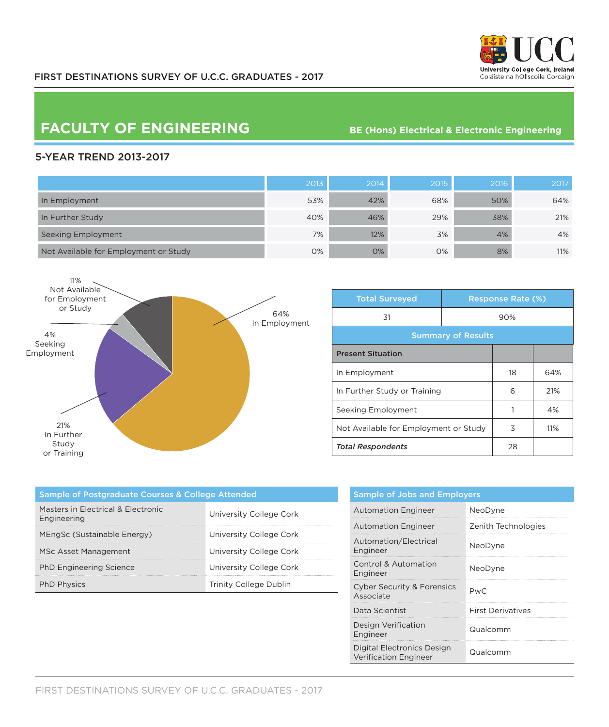

## **FACULTY OF ENGINEERING** BE (Hons) Electrical & Electronic Engineering

## 5-YEAR TREND 2013-2017

|                                       | 2013 | 2014 | 2015 | 2016 | 2017 |
|---------------------------------------|------|------|------|------|------|
| In Employment                         | 53%  | 42%  | 68%  | 50%  | 64%  |
| In Further Study                      | 40%  | 46%  | 29%  | 38%  | 21%  |
| Seeking Employment                    | 7%   | 12%  | 3%   | 4%   | 4%   |
| Not Available for Employment or Study | 0%   | 0%   | 0%   | 8%   | 11%  |



| <b>Total Surveyed</b>                 |  | <b>Response Rate (%)</b> |     |  |
|---------------------------------------|--|--------------------------|-----|--|
| 31                                    |  | 90%                      |     |  |
| <b>Summary of Results</b>             |  |                          |     |  |
| <b>Present Situation</b>              |  |                          |     |  |
| In Employment                         |  | 18                       | 64% |  |
| In Further Study or Training          |  | 6                        | 21% |  |
| Seeking Employment                    |  | 1                        | 4%  |  |
| Not Available for Employment or Study |  | 3                        | 11% |  |
| <b>Total Respondents</b>              |  | 28                       |     |  |

| <b>Sample of Postgraduate Courses &amp; College Attended</b> |                         |  |  |  |
|--------------------------------------------------------------|-------------------------|--|--|--|
| Masters in Electrical & Electronic<br>Engineering            | University College Cork |  |  |  |
| MEngSc (Sustainable Energy)                                  | University College Cork |  |  |  |
| MSc Asset Management                                         | University College Cork |  |  |  |
| <b>PhD Engineering Science</b>                               | University College Cork |  |  |  |
| <b>PhD Physics</b>                                           | Trinity College Dublin  |  |  |  |

| <b>Sample of Jobs and Employers</b>                        |                          |  |  |
|------------------------------------------------------------|--------------------------|--|--|
| <b>Automation Engineer</b>                                 | NeoDyne                  |  |  |
| <b>Automation Engineer</b>                                 | Zenith Technologies      |  |  |
| Automation/Electrical<br>Engineer                          | NeoDyne                  |  |  |
| Control & Automation<br>Engineer                           | NeoDyne                  |  |  |
| <b>Cyber Security &amp; Forensics</b><br>Associate         | PwC.                     |  |  |
| Data Scientist                                             | <b>First Derivatives</b> |  |  |
| Design Verification<br>Engineer                            | Qualcomm                 |  |  |
| Digital Electronics Design<br><b>Verification Engineer</b> | Qualcomm                 |  |  |